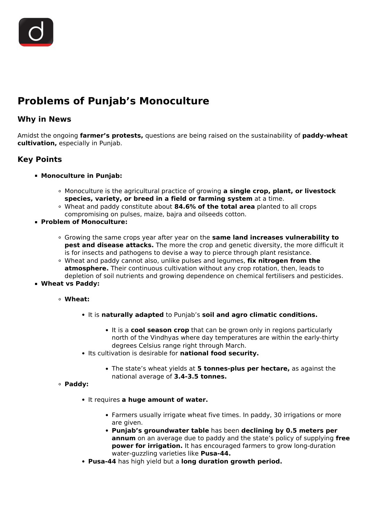

# **Problems of Punjab's Monoculture**

# **Why in News**

Amidst the ongoing **farmer's protests,** questions are being raised on the sustainability of **paddy-wheat cultivation,** especially in Punjab.

# **Key Points**

- **Monoculture in Punjab:**
	- Monoculture is the agricultural practice of growing **a single crop, plant, or livestock species, variety, or breed in a field or farming system** at a time.
	- Wheat and paddy constitute about **84.6% of the total area** planted to all crops compromising on pulses, maize, bajra and oilseeds cotton.
- **Problem of Monoculture:**
	- Growing the same crops year after year on the **same land increases vulnerability to pest and disease attacks.** The more the crop and genetic diversity, the more difficult it is for insects and pathogens to devise a way to pierce through plant resistance.
	- Wheat and paddy cannot also, unlike pulses and legumes, **fix nitrogen from the atmosphere.** Their continuous cultivation without any crop rotation, then, leads to depletion of soil nutrients and growing dependence on chemical fertilisers and pesticides.
- **Wheat vs Paddy:**
	- **Wheat:**
		- It is **naturally adapted** to Punjab's **soil and agro climatic conditions.**
			- It is a **cool season crop** that can be grown only in regions particularly north of the Vindhyas where day temperatures are within the early-thirty degrees Celsius range right through March.
		- **Its cultivation is desirable for national food security.** 
			- The state's wheat yields at **5 tonnes-plus per hectare,** as against the national average of **3.4-3.5 tonnes.**

#### **Paddy:**

- **.** It requires a huge amount of water.
	- Farmers usually irrigate wheat five times. In paddy, 30 irrigations or more are given.
	- **Punjab's groundwater table** has been **declining by 0.5 meters per annum** on an average due to paddy and the state's policy of supplying **free power for irrigation.** It has encouraged farmers to grow long-duration water-guzzling varieties like **Pusa-44.**
- **Pusa-44** has high yield but a **long duration growth period.**